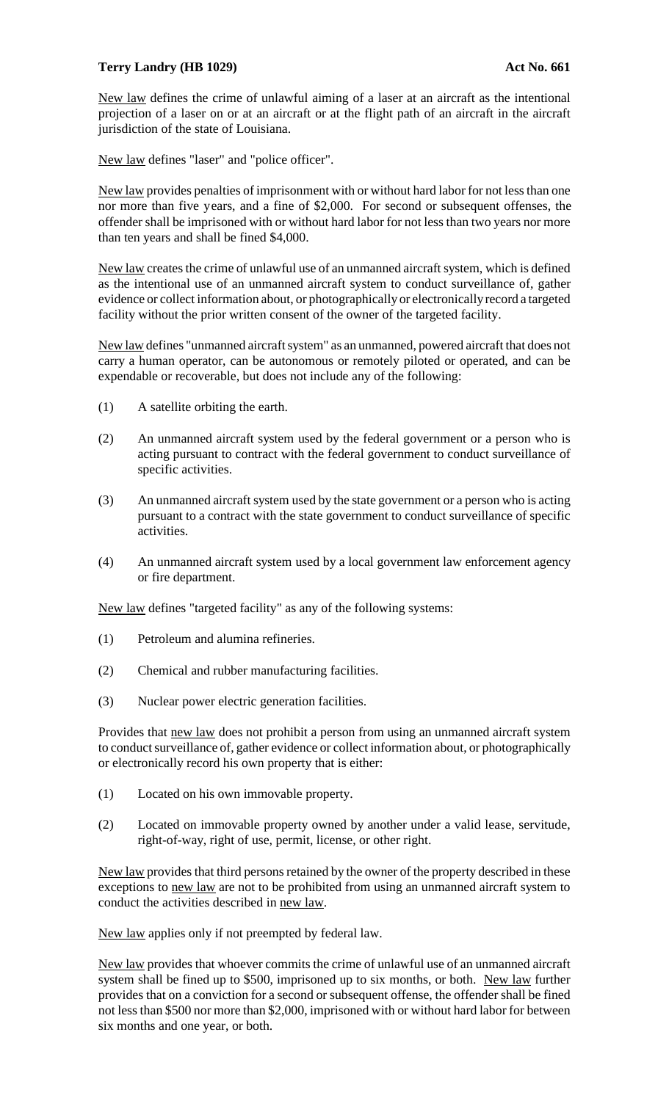## **Terry Landry (HB 1029) Act No. 661**

New law defines the crime of unlawful aiming of a laser at an aircraft as the intentional projection of a laser on or at an aircraft or at the flight path of an aircraft in the aircraft jurisdiction of the state of Louisiana.

New law defines "laser" and "police officer".

New law provides penalties of imprisonment with or without hard labor for not less than one nor more than five years, and a fine of \$2,000. For second or subsequent offenses, the offender shall be imprisoned with or without hard labor for not less than two years nor more than ten years and shall be fined \$4,000.

New law creates the crime of unlawful use of an unmanned aircraft system, which is defined as the intentional use of an unmanned aircraft system to conduct surveillance of, gather evidence or collect information about, or photographically or electronically record a targeted facility without the prior written consent of the owner of the targeted facility.

New law defines "unmanned aircraft system" as an unmanned, powered aircraft that does not carry a human operator, can be autonomous or remotely piloted or operated, and can be expendable or recoverable, but does not include any of the following:

- (1) A satellite orbiting the earth.
- (2) An unmanned aircraft system used by the federal government or a person who is acting pursuant to contract with the federal government to conduct surveillance of specific activities.
- (3) An unmanned aircraft system used by the state government or a person who is acting pursuant to a contract with the state government to conduct surveillance of specific activities.
- (4) An unmanned aircraft system used by a local government law enforcement agency or fire department.

New law defines "targeted facility" as any of the following systems:

- (1) Petroleum and alumina refineries.
- (2) Chemical and rubber manufacturing facilities.
- (3) Nuclear power electric generation facilities.

Provides that new law does not prohibit a person from using an unmanned aircraft system to conduct surveillance of, gather evidence or collect information about, or photographically or electronically record his own property that is either:

- (1) Located on his own immovable property.
- (2) Located on immovable property owned by another under a valid lease, servitude, right-of-way, right of use, permit, license, or other right.

New law provides that third persons retained by the owner of the property described in these exceptions to new law are not to be prohibited from using an unmanned aircraft system to conduct the activities described in new law.

New law applies only if not preempted by federal law.

New law provides that whoever commits the crime of unlawful use of an unmanned aircraft system shall be fined up to \$500, imprisoned up to six months, or both. New law further provides that on a conviction for a second or subsequent offense, the offender shall be fined not less than \$500 nor more than \$2,000, imprisoned with or without hard labor for between six months and one year, or both.